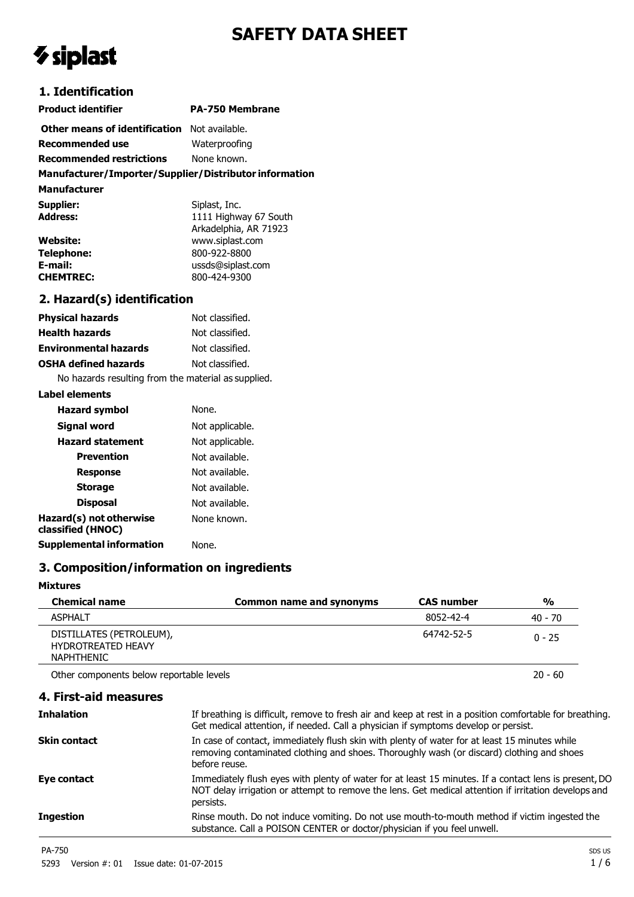# **SAFETY DATA SHEET**

# *V* siplast

# **1. Identification**

| <b>Product identifier</b>                              | <b>PA-750 Membrane</b> |
|--------------------------------------------------------|------------------------|
| <b>Other means of identification</b> Not available.    |                        |
| Recommended use                                        | Waterproofing          |
| <b>Recommended restrictions</b>                        | None known.            |
| Manufacturer/Importer/Supplier/Distributor information |                        |

**Manufacturer Supplier:** Siplast, Inc.<br> **Address:** Siplast, Inc. **Address:** 1111 Highway 67 South Arkadelphia, AR 71923 **Website:** www.siplast.com **Telephone:** 800-922-8800<br> **E-mail:** ussds@siplast. **E-mail:** ussds@siplast.com **CHEMTREC:** 800-424-9300

### **2. Hazard(s) identification**

| <b>Physical hazards</b>                                        | Not classified. |  |
|----------------------------------------------------------------|-----------------|--|
| <b>Health hazards</b>                                          | Not classified. |  |
| <b>Environmental hazards</b>                                   | Not classified. |  |
| <b>OSHA defined hazards</b>                                    | Not classified. |  |
| Nie bennachten der diese Constantinen genannten der nurschland |                 |  |

No hazards resulting from the material as supplied.

#### **Label elements**

| <b>Hazard symbol</b>                         | None.           |
|----------------------------------------------|-----------------|
| Signal word                                  | Not applicable. |
| <b>Hazard statement</b>                      | Not applicable. |
| Prevention                                   | Not available.  |
| <b>Response</b>                              | Not available.  |
| <b>Storage</b>                               | Not available.  |
| <b>Disposal</b>                              | Not available.  |
| Hazard(s) not otherwise<br>classified (HNOC) | None known.     |
| <b>Supplemental information</b>              | None.           |

#### **3. Composition/information on ingredients**

#### **Mixtures**

| <b>Chemical name</b>                                                       | Common name and synonyms | <b>CAS number</b> | $\frac{0}{0}$ |
|----------------------------------------------------------------------------|--------------------------|-------------------|---------------|
| <b>ASPHALT</b>                                                             |                          | 8052-42-4         | 40 - 70       |
| DISTILLATES (PETROLEUM),<br><b>HYDROTREATED HEAVY</b><br><b>NAPHTHENIC</b> |                          | 64742-52-5        | $0 - 25$      |
| Other components below reportable levels                                   |                          |                   | $20 - 60$     |

#### **4. First-aid measures**

| <b>Inhalation</b>   | If breathing is difficult, remove to fresh air and keep at rest in a position comfortable for breathing.<br>Get medical attention, if needed. Call a physician if symptoms develop or persist.                             |
|---------------------|----------------------------------------------------------------------------------------------------------------------------------------------------------------------------------------------------------------------------|
| <b>Skin contact</b> | In case of contact, immediately flush skin with plenty of water for at least 15 minutes while<br>removing contaminated clothing and shoes. Thoroughly wash (or discard) clothing and shoes<br>before reuse.                |
| Eye contact         | Immediately flush eyes with plenty of water for at least 15 minutes. If a contact lens is present, DO<br>NOT delay irrigation or attempt to remove the lens. Get medical attention if irritation develops and<br>persists. |
| <b>Ingestion</b>    | Rinse mouth. Do not induce vomiting. Do not use mouth-to-mouth method if victim ingested the<br>substance. Call a POISON CENTER or doctor/physician if you feel unwell.                                                    |
|                     |                                                                                                                                                                                                                            |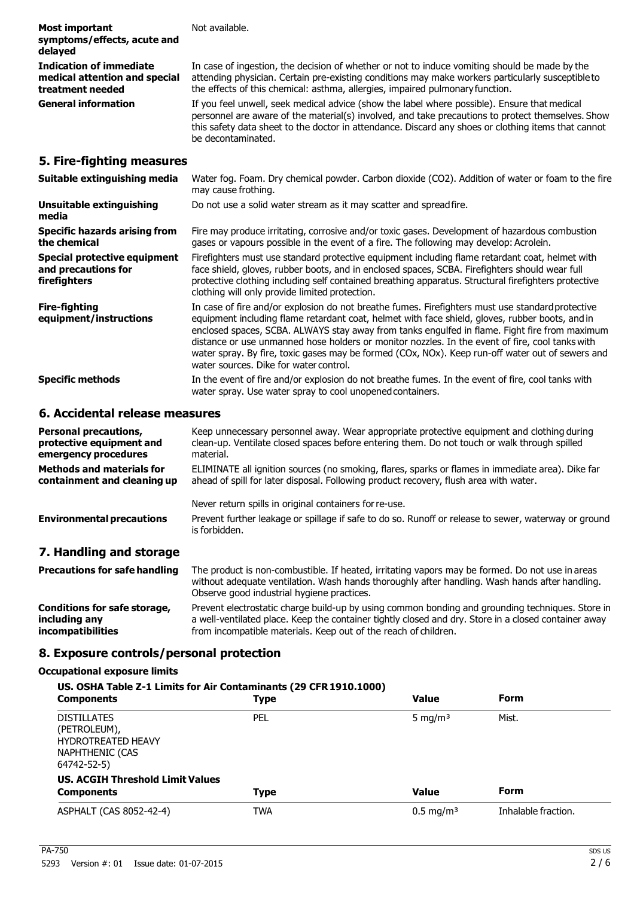| <b>Most important</b><br>symptoms/effects, acute and<br>delayed                     | Not available.                                                                                                                                                                                                                                                                                                                                                                                                                                                                                                                                        |
|-------------------------------------------------------------------------------------|-------------------------------------------------------------------------------------------------------------------------------------------------------------------------------------------------------------------------------------------------------------------------------------------------------------------------------------------------------------------------------------------------------------------------------------------------------------------------------------------------------------------------------------------------------|
| <b>Indication of immediate</b><br>medical attention and special<br>treatment needed | In case of ingestion, the decision of whether or not to induce vomiting should be made by the<br>attending physician. Certain pre-existing conditions may make workers particularly susceptible to<br>the effects of this chemical: asthma, allergies, impaired pulmonary function.                                                                                                                                                                                                                                                                   |
| <b>General information</b>                                                          | If you feel unwell, seek medical advice (show the label where possible). Ensure that medical<br>personnel are aware of the material(s) involved, and take precautions to protect themselves. Show<br>this safety data sheet to the doctor in attendance. Discard any shoes or clothing items that cannot<br>be decontaminated.                                                                                                                                                                                                                        |
| 5. Fire-fighting measures                                                           |                                                                                                                                                                                                                                                                                                                                                                                                                                                                                                                                                       |
| Suitable extinguishing media                                                        | Water fog. Foam. Dry chemical powder. Carbon dioxide (CO2). Addition of water or foam to the fire<br>may cause frothing.                                                                                                                                                                                                                                                                                                                                                                                                                              |
| <b>Unsuitable extinguishing</b><br>media                                            | Do not use a solid water stream as it may scatter and spread fire.                                                                                                                                                                                                                                                                                                                                                                                                                                                                                    |
| <b>Specific hazards arising from</b><br>the chemical                                | Fire may produce irritating, corrosive and/or toxic gases. Development of hazardous combustion<br>gases or vapours possible in the event of a fire. The following may develop: Acrolein.                                                                                                                                                                                                                                                                                                                                                              |
| <b>Special protective equipment</b><br>and precautions for<br>firefighters          | Firefighters must use standard protective equipment including flame retardant coat, helmet with<br>face shield, gloves, rubber boots, and in enclosed spaces, SCBA. Firefighters should wear full<br>protective clothing including self contained breathing apparatus. Structural firefighters protective<br>clothing will only provide limited protection.                                                                                                                                                                                           |
| <b>Fire-fighting</b><br>equipment/instructions                                      | In case of fire and/or explosion do not breathe fumes. Firefighters must use standard protective<br>equipment including flame retardant coat, helmet with face shield, gloves, rubber boots, and in<br>enclosed spaces, SCBA. ALWAYS stay away from tanks engulfed in flame. Fight fire from maximum<br>distance or use unmanned hose holders or monitor nozzles. In the event of fire, cool tanks with<br>water spray. By fire, toxic gases may be formed (COx, NOx). Keep run-off water out of sewers and<br>water sources. Dike for water control. |
| <b>Specific methods</b>                                                             | In the event of fire and/or explosion do not breathe fumes. In the event of fire, cool tanks with                                                                                                                                                                                                                                                                                                                                                                                                                                                     |

#### **6. Accidental release measures**

| <b>Personal precautions,</b><br>protective equipment and<br>emergency procedures | Keep unnecessary personnel away. Wear appropriate protective equipment and clothing during<br>clean-up. Ventilate closed spaces before entering them. Do not touch or walk through spilled<br>material.                                         |
|----------------------------------------------------------------------------------|-------------------------------------------------------------------------------------------------------------------------------------------------------------------------------------------------------------------------------------------------|
| <b>Methods and materials for</b><br>containment and cleaning up                  | ELIMINATE all ignition sources (no smoking, flares, sparks or flames in immediate area). Dike far<br>ahead of spill for later disposal. Following product recovery, flush area with water.                                                      |
|                                                                                  | Never return spills in original containers for re-use.                                                                                                                                                                                          |
| <b>Environmental precautions</b>                                                 | Prevent further leakage or spillage if safe to do so. Runoff or release to sewer, waterway or ground<br>is forbidden.                                                                                                                           |
| 7. Handling and storage                                                          |                                                                                                                                                                                                                                                 |
| <b>Precautions for safe handling</b>                                             | The product is non-combustible. If heated, irritating vapors may be formed. Do not use in areas<br>without adequate ventilation. Wash hands thoroughly after handling. Wash hands after handling.<br>Observe good industrial hygiene practices. |

water spray. Use water spray to cool unopened containers.

**Conditions for safe storage, including any incompatibilities** Prevent electrostatic charge build-up by using common bonding and grounding techniques. Store in a well-ventilated place. Keep the container tightly closed and dry. Store in a closed container away from incompatible materials. Keep out of the reach of children.

#### **8. Exposure controls/personal protection**

#### **Occupational exposure limits**

| US. OSHA Table Z-1 Limits for Air Contaminants (29 CFR 1910.1000)                                 |             |                         |                     |
|---------------------------------------------------------------------------------------------------|-------------|-------------------------|---------------------|
| <b>Components</b>                                                                                 | <b>Type</b> | <b>Value</b>            | <b>Form</b>         |
| <b>DISTILLATES</b><br>(PETROLEUM),<br><b>HYDROTREATED HEAVY</b><br>NAPHTHENIC (CAS<br>64742-52-5) | <b>PEL</b>  | 5 mg/m <sup>3</sup>     | Mist.               |
| <b>US. ACGIH Threshold Limit Values</b>                                                           |             |                         |                     |
| <b>Components</b>                                                                                 | <b>Type</b> | <b>Value</b>            | <b>Form</b>         |
| ASPHALT (CAS 8052-42-4)                                                                           | <b>TWA</b>  | $0.5 \,\mathrm{mq/m^3}$ | Inhalable fraction. |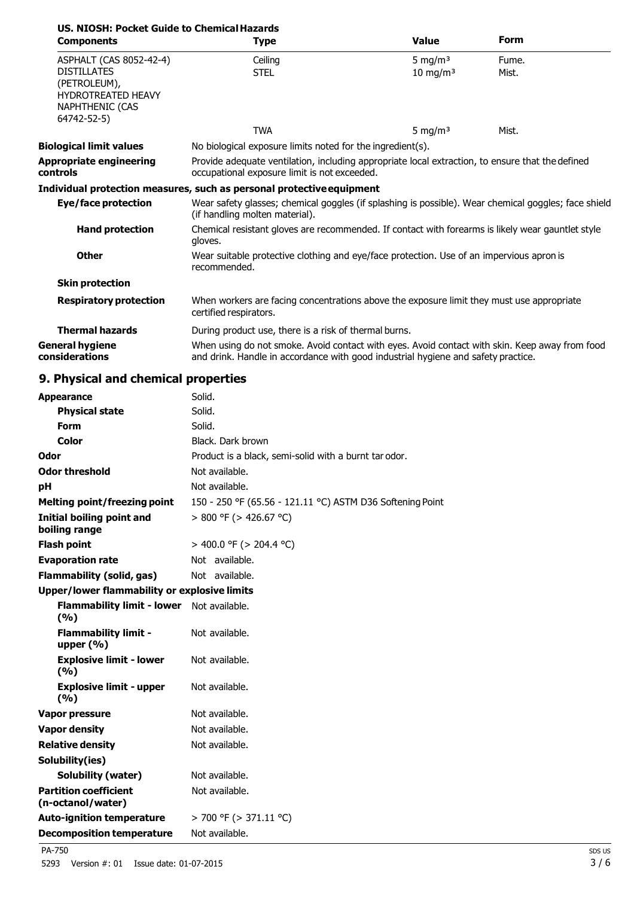| US. NIOSH: Pocket Guide to Chemical Hazards<br><b>Components</b>                                                             | <b>Type</b>                                                                                                                                                                         | <b>Value</b>                                               | <b>Form</b>    |
|------------------------------------------------------------------------------------------------------------------------------|-------------------------------------------------------------------------------------------------------------------------------------------------------------------------------------|------------------------------------------------------------|----------------|
| ASPHALT (CAS 8052-42-4)<br><b>DISTILLATES</b><br>(PETROLEUM),<br><b>HYDROTREATED HEAVY</b><br>NAPHTHENIC (CAS<br>64742-52-5) | Ceiling<br><b>STEL</b>                                                                                                                                                              | 5 mg/m <sup>3</sup><br>$10 \text{ mg/m}^3$                 | Fume.<br>Mist. |
|                                                                                                                              | <b>TWA</b>                                                                                                                                                                          | 5 mg/m <sup>3</sup>                                        | Mist.          |
| <b>Biological limit values</b>                                                                                               |                                                                                                                                                                                     | No biological exposure limits noted for the ingredient(s). |                |
| <b>Appropriate engineering</b><br>controls                                                                                   | Provide adequate ventilation, including appropriate local extraction, to ensure that the defined<br>occupational exposure limit is not exceeded.                                    |                                                            |                |
|                                                                                                                              | Individual protection measures, such as personal protective equipment                                                                                                               |                                                            |                |
| <b>Eye/face protection</b>                                                                                                   | Wear safety glasses; chemical goggles (if splashing is possible). Wear chemical goggles; face shield<br>(if handling molten material).                                              |                                                            |                |
| <b>Hand protection</b>                                                                                                       | Chemical resistant gloves are recommended. If contact with forearms is likely wear gauntlet style<br>gloves.                                                                        |                                                            |                |
| <b>Other</b>                                                                                                                 | Wear suitable protective clothing and eye/face protection. Use of an impervious apron is<br>recommended.                                                                            |                                                            |                |
| <b>Skin protection</b>                                                                                                       |                                                                                                                                                                                     |                                                            |                |
| <b>Respiratory protection</b>                                                                                                | When workers are facing concentrations above the exposure limit they must use appropriate<br>certified respirators.                                                                 |                                                            |                |
| <b>Thermal hazards</b>                                                                                                       | During product use, there is a risk of thermal burns.                                                                                                                               |                                                            |                |
| General hygiene<br>considerations                                                                                            | When using do not smoke. Avoid contact with eyes. Avoid contact with skin. Keep away from food<br>and drink. Handle in accordance with good industrial hygiene and safety practice. |                                                            |                |

# **9. Physical and chemical properties**

| <b>Appearance</b>                                         | Solid.                                                    |
|-----------------------------------------------------------|-----------------------------------------------------------|
| <b>Physical state</b>                                     | Solid.                                                    |
| <b>Form</b>                                               | Solid.                                                    |
| Color                                                     | Black. Dark brown                                         |
| Odor                                                      | Product is a black, semi-solid with a burnt tar odor.     |
| <b>Odor threshold</b>                                     | Not available.                                            |
| pH                                                        | Not available.                                            |
| <b>Melting point/freezing point</b>                       | 150 - 250 °F (65.56 - 121.11 °C) ASTM D36 Softening Point |
| Initial boiling point and<br>boiling range                | $> 800$ °F ( $> 426.67$ °C)                               |
| <b>Flash point</b>                                        | > 400.0 °F (> 204.4 °C)                                   |
| <b>Evaporation rate</b>                                   | Not available.                                            |
| <b>Flammability (solid, gas)</b>                          | Not available.                                            |
| <b>Upper/lower flammability or explosive limits</b>       |                                                           |
| <b>Flammability limit - lower</b> Not available.<br>(9/6) |                                                           |
| <b>Flammability limit -</b><br>upper $(% )$               | Not available.                                            |
| <b>Explosive limit - lower</b><br>(9/6)                   | Not available.                                            |
| <b>Explosive limit - upper</b><br>(9/6)                   | Not available.                                            |
| <b>Vapor pressure</b>                                     | Not available.                                            |
| <b>Vapor density</b>                                      | Not available.                                            |
| <b>Relative density</b>                                   | Not available.                                            |
| Solubility(ies)                                           |                                                           |
| <b>Solubility (water)</b>                                 | Not available.                                            |
| <b>Partition coefficient</b><br>(n-octanol/water)         | Not available.                                            |
| <b>Auto-ignition temperature</b>                          | $>$ 700 °F ( $>$ 371.11 °C)                               |
| <b>Decomposition temperature</b>                          | Not available.                                            |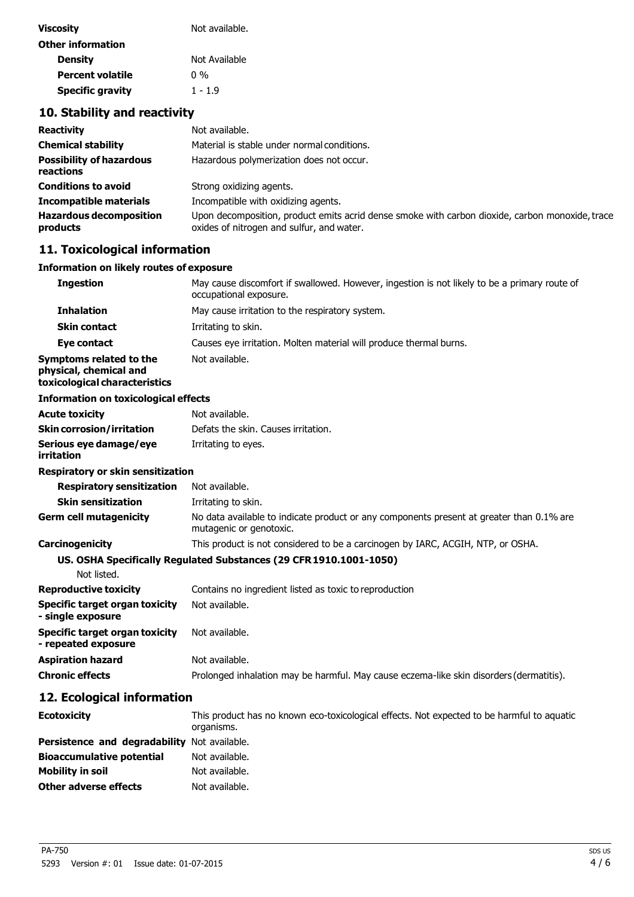| <b>Viscosity</b><br>Not available. |               |
|------------------------------------|---------------|
| <b>Other information</b>           |               |
| <b>Density</b>                     | Not Available |
| <b>Percent volatile</b>            | በ %           |
| <b>Specific gravity</b>            | $1 - 1.9$     |

# **10. Stability and reactivity**

| <b>Reactivity</b>                            | Not available.                                                                                                                               |
|----------------------------------------------|----------------------------------------------------------------------------------------------------------------------------------------------|
| <b>Chemical stability</b>                    | Material is stable under normal conditions.                                                                                                  |
| <b>Possibility of hazardous</b><br>reactions | Hazardous polymerization does not occur.                                                                                                     |
| <b>Conditions to avoid</b>                   | Strong oxidizing agents.                                                                                                                     |
| <b>Incompatible materials</b>                | Incompatible with oxidizing agents.                                                                                                          |
| <b>Hazardous decomposition</b><br>products   | Upon decomposition, product emits acrid dense smoke with carbon dioxide, carbon monoxide, trace<br>oxides of nitrogen and sulfur, and water. |

# **11. Toxicological information**

#### **Information on likely routes of exposure**

| <b>Ingestion</b>                                                                   | May cause discomfort if swallowed. However, ingestion is not likely to be a primary route of<br>occupational exposure. |
|------------------------------------------------------------------------------------|------------------------------------------------------------------------------------------------------------------------|
| <b>Inhalation</b>                                                                  | May cause irritation to the respiratory system.                                                                        |
| <b>Skin contact</b>                                                                | Irritating to skin.                                                                                                    |
| Eye contact                                                                        | Causes eye irritation. Molten material will produce thermal burns.                                                     |
| Symptoms related to the<br>physical, chemical and<br>toxicological characteristics | Not available.                                                                                                         |
| <b>Information on toxicological effects</b>                                        |                                                                                                                        |
| <b>Acute toxicity</b>                                                              | Not available.                                                                                                         |
| <b>Skin corrosion/irritation</b>                                                   | Defats the skin. Causes irritation.                                                                                    |
| Serious eye damage/eye<br>irritation                                               | Irritating to eyes.                                                                                                    |
| Respiratory or skin sensitization                                                  |                                                                                                                        |
| <b>Respiratory sensitization</b>                                                   | Not available.                                                                                                         |
| <b>Skin sensitization</b>                                                          | Irritating to skin.                                                                                                    |
| Germ cell mutagenicity                                                             | No data available to indicate product or any components present at greater than 0.1% are<br>mutagenic or genotoxic.    |
| <b>Carcinogenicity</b>                                                             | This product is not considered to be a carcinogen by IARC, ACGIH, NTP, or OSHA.                                        |
|                                                                                    | US. OSHA Specifically Regulated Substances (29 CFR 1910.1001-1050)                                                     |
| Not listed.                                                                        |                                                                                                                        |
| <b>Reproductive toxicity</b>                                                       | Contains no ingredient listed as toxic to reproduction                                                                 |
| Specific target organ toxicity<br>- single exposure                                | Not available.                                                                                                         |
| Specific target organ toxicity<br>- repeated exposure                              | Not available.                                                                                                         |
| Aspiration hazard                                                                  | Not available.                                                                                                         |
| <b>Chronic effects</b>                                                             | Prolonged inhalation may be harmful. May cause eczema-like skin disorders (dermatitis).                                |
| 12. Ecological information                                                         |                                                                                                                        |

| <b>Ecotoxicity</b>                           | This product has no known eco-toxicological effects. Not expected to be harmful to aquatic<br>organisms. |
|----------------------------------------------|----------------------------------------------------------------------------------------------------------|
| Persistence and degradability Not available. |                                                                                                          |
| <b>Bioaccumulative potential</b>             | Not available.                                                                                           |
| Mobility in soil                             | Not available.                                                                                           |
| <b>Other adverse effects</b>                 | Not available.                                                                                           |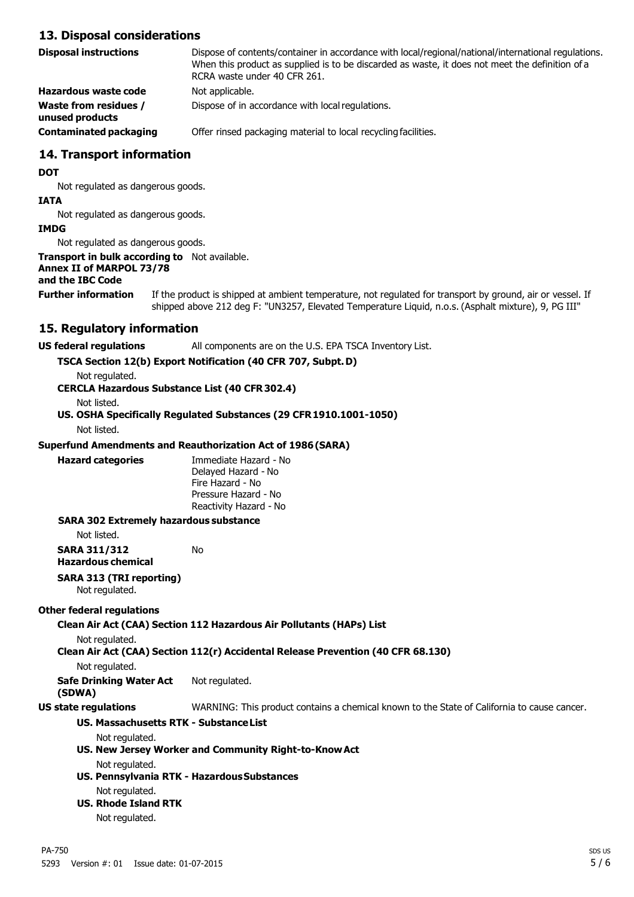#### **13. Disposal considerations**

| <b>Disposal instructions</b>                    | Dispose of contents/container in accordance with local/regional/national/international regulations.<br>When this product as supplied is to be discarded as waste, it does not meet the definition of a<br>RCRA waste under 40 CFR 261. |
|-------------------------------------------------|----------------------------------------------------------------------------------------------------------------------------------------------------------------------------------------------------------------------------------------|
| Hazardous waste code                            | Not applicable.                                                                                                                                                                                                                        |
| <b>Waste from residues /</b><br>unused products | Dispose of in accordance with local regulations.                                                                                                                                                                                       |
| <b>Contaminated packaging</b>                   | Offer rinsed packaging material to local recycling facilities.                                                                                                                                                                         |

#### **14. Transport information**

#### **DOT**

Not regulated as dangerous goods.

#### **IATA**

Not regulated as dangerous goods.

#### **IMDG**

Not regulated as dangerous goods.

#### **Transport in bulk according to** Not available.

#### **Annex II of MARPOL 73/78**

#### **and the IBC Code**

**Further information** If the product is shipped at ambient temperature, not regulated for transport by ground, air or vessel. If shipped above 212 deg F: "UN3257, Elevated Temperature Liquid, n.o.s. (Asphalt mixture), 9, PG III"

#### **15. Regulatory information**

**US federal regulations** All components are on the U.S. EPA TSCA Inventory List.

#### **TSCA Section 12(b) Export Notification (40 CFR 707, Subpt.D)**

Not regulated.

#### **CERCLA Hazardous Substance List (40 CFR 302.4)**

Not listed.

**US. OSHA Specifically Regulated Substances (29 CFR1910.1001-1050)**

Not listed.

#### **Superfund Amendments and Reauthorization Act of 1986(SARA)**

**Hazard categories** Immediate Hazard - No Delayed Hazard - No Fire Hazard - No Pressure Hazard - No Reactivity Hazard - No

#### **SARA 302 Extremely hazardous substance**

Not listed.

#### **SARA 311/312** No

**Hazardous chemical**

# **SARA 313 (TRI reporting)**

Not regulated.

#### **Other federal regulations**

#### **Clean Air Act (CAA) Section 112 Hazardous Air Pollutants (HAPs) List**

Not regulated.

**Clean Air Act (CAA) Section 112(r) Accidental Release Prevention (40 CFR 68.130)**

Not regulated.

#### **Safe Drinking Water Act** Not regulated.

**(SDWA)**

**US state regulations** WARNING: This product contains a chemical known to the State of California to cause cancer.

#### **US. Massachusetts RTK - SubstanceList**

Not regulated.

# **US. New Jersey Worker and Community Right-to-KnowAct**

Not regulated.

#### **US. Pennsylvania RTK - HazardousSubstances** Not regulated.

#### **US. Rhode Island RTK**

Not regulated.